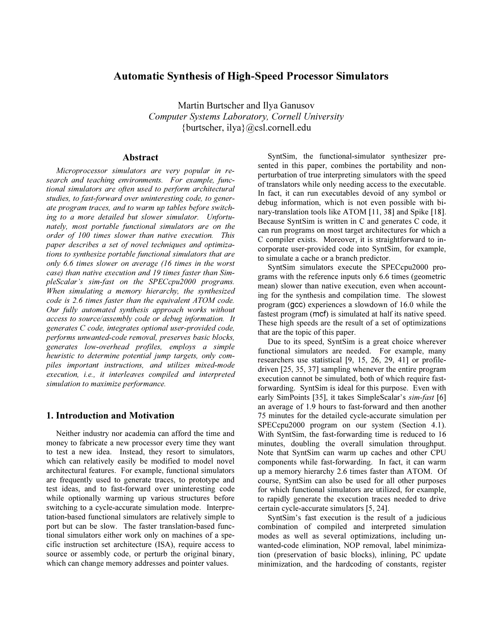# Automatic Synthesis of High-Speed Processor Simulators

Martin Burtscher and Ilya Ganusov Computer Systems Laboratory, Cornell University {burtscher, ilya}@csl.cornell.edu

## Abstract

Microprocessor simulators are very popular in research and teaching environments. For example, functional simulators are often used to perform architectural studies, to fast-forward over uninteresting code, to generate program traces, and to warm up tables before switching to a more detailed but slower simulator. Unfortunately, most portable functional simulators are on the order of 100 times slower than native execution. This paper describes a set of novel techniques and optimizations to synthesize portable functional simulators that are only 6.6 times slower on average (16 times in the worst case) than native execution and 19 times faster than SimpleScalar's sim-fast on the SPECcpu2000 programs. When simulating a memory hierarchy, the synthesized code is 2.6 times faster than the equivalent ATOM code. Our fully automated synthesis approach works without access to source/assembly code or debug information. It generates C code, integrates optional user-provided code, performs unwanted-code removal, preserves basic blocks, generates low-overhead profiles, employs a simple heuristic to determine potential jump targets, only compiles important instructions, and utilizes mixed-mode execution, i.e., it interleaves compiled and interpreted simulation to maximize performance.

## 1. Introduction and Motivation

Neither industry nor academia can afford the time and money to fabricate a new processor every time they want to test a new idea. Instead, they resort to simulators, which can relatively easily be modified to model novel architectural features. For example, functional simulators are frequently used to generate traces, to prototype and test ideas, and to fast-forward over uninteresting code while optionally warming up various structures before switching to a cycle-accurate simulation mode. Interpretation-based functional simulators are relatively simple to port but can be slow. The faster translation-based functional simulators either work only on machines of a specific instruction set architecture (ISA), require access to source or assembly code, or perturb the original binary, which can change memory addresses and pointer values.

SyntSim, the functional-simulator synthesizer presented in this paper, combines the portability and nonperturbation of true interpreting simulators with the speed of translators while only needing access to the executable. In fact, it can run executables devoid of any symbol or debug information, which is not even possible with binary-translation tools like ATOM [11, 38] and Spike [18]. Because SyntSim is written in C and generates C code, it can run programs on most target architectures for which a C compiler exists. Moreover, it is straightforward to incorporate user-provided code into SyntSim, for example, to simulate a cache or a branch predictor.

SyntSim simulators execute the SPECcpu2000 programs with the reference inputs only 6.6 times (geometric mean) slower than native execution, even when accounting for the synthesis and compilation time. The slowest program (gcc) experiences a slowdown of 16.0 while the fastest program (mcf) is simulated at half its native speed. These high speeds are the result of a set of optimizations that are the topic of this paper.

Due to its speed, SyntSim is a great choice wherever functional simulators are needed. For example, many researchers use statistical [9, 15, 26, 29, 41] or profiledriven [25, 35, 37] sampling whenever the entire program execution cannot be simulated, both of which require fastforwarding. SyntSim is ideal for this purpose. Even with early SimPoints [35], it takes SimpleScalar's sim-fast [6] an average of 1.9 hours to fast-forward and then another 75 minutes for the detailed cycle-accurate simulation per SPECcpu2000 program on our system (Section 4.1). With SyntSim, the fast-forwarding time is reduced to 16 minutes, doubling the overall simulation throughput. Note that SyntSim can warm up caches and other CPU components while fast-forwarding. In fact, it can warm up a memory hierarchy 2.6 times faster than ATOM. Of course, SyntSim can also be used for all other purposes for which functional simulators are utilized, for example, to rapidly generate the execution traces needed to drive certain cycle-accurate simulators [5, 24].

SyntSim's fast execution is the result of a judicious combination of compiled and interpreted simulation modes as well as several optimizations, including unwanted-code elimination, NOP removal, label minimization (preservation of basic blocks), inlining, PC update minimization, and the hardcoding of constants, register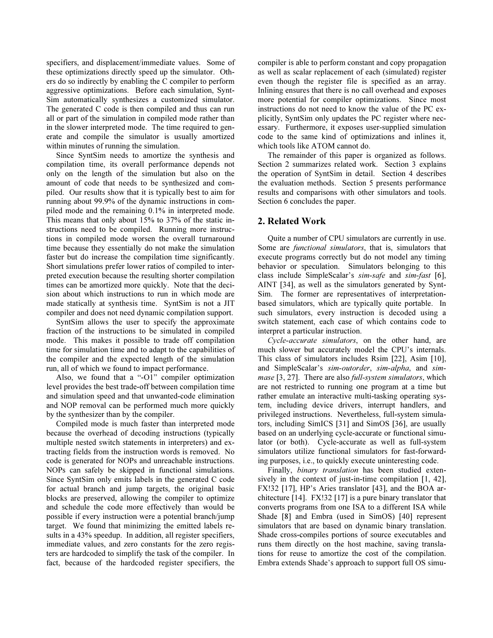specifiers, and displacement/immediate values. Some of these optimizations directly speed up the simulator. Others do so indirectly by enabling the C compiler to perform aggressive optimizations. Before each simulation, Synt-Sim automatically synthesizes a customized simulator. The generated C code is then compiled and thus can run all or part of the simulation in compiled mode rather than in the slower interpreted mode. The time required to generate and compile the simulator is usually amortized within minutes of running the simulation.

Since SyntSim needs to amortize the synthesis and compilation time, its overall performance depends not only on the length of the simulation but also on the amount of code that needs to be synthesized and compiled. Our results show that it is typically best to aim for running about 99.9% of the dynamic instructions in compiled mode and the remaining 0.1% in interpreted mode. This means that only about 15% to 37% of the static instructions need to be compiled. Running more instructions in compiled mode worsen the overall turnaround time because they essentially do not make the simulation faster but do increase the compilation time significantly. Short simulations prefer lower ratios of compiled to interpreted execution because the resulting shorter compilation times can be amortized more quickly. Note that the decision about which instructions to run in which mode are made statically at synthesis time. SyntSim is not a JIT compiler and does not need dynamic compilation support.

SyntSim allows the user to specify the approximate fraction of the instructions to be simulated in compiled mode. This makes it possible to trade off compilation time for simulation time and to adapt to the capabilities of the compiler and the expected length of the simulation run, all of which we found to impact performance.

Also, we found that a "-O1" compiler optimization level provides the best trade-off between compilation time and simulation speed and that unwanted-code elimination and NOP removal can be performed much more quickly by the synthesizer than by the compiler.

Compiled mode is much faster than interpreted mode because the overhead of decoding instructions (typically multiple nested switch statements in interpreters) and extracting fields from the instruction words is removed. No code is generated for NOPs and unreachable instructions. NOPs can safely be skipped in functional simulations. Since SyntSim only emits labels in the generated C code for actual branch and jump targets, the original basic blocks are preserved, allowing the compiler to optimize and schedule the code more effectively than would be possible if every instruction were a potential branch/jump target. We found that minimizing the emitted labels results in a 43% speedup. In addition, all register specifiers, immediate values, and zero constants for the zero registers are hardcoded to simplify the task of the compiler. In fact, because of the hardcoded register specifiers, the

compiler is able to perform constant and copy propagation as well as scalar replacement of each (simulated) register even though the register file is specified as an array. Inlining ensures that there is no call overhead and exposes more potential for compiler optimizations. Since most instructions do not need to know the value of the PC explicitly, SyntSim only updates the PC register where necessary. Furthermore, it exposes user-supplied simulation code to the same kind of optimizations and inlines it, which tools like ATOM cannot do.

The remainder of this paper is organized as follows. Section 2 summarizes related work. Section 3 explains the operation of SyntSim in detail. Section 4 describes the evaluation methods. Section 5 presents performance results and comparisons with other simulators and tools. Section 6 concludes the paper.

## 2. Related Work

Quite a number of CPU simulators are currently in use. Some are functional simulators, that is, simulators that execute programs correctly but do not model any timing behavior or speculation. Simulators belonging to this class include SimpleScalar's sim-safe and sim-fast [6], AINT [34], as well as the simulators generated by Synt-Sim. The former are representatives of interpretationbased simulators, which are typically quite portable. In such simulators, every instruction is decoded using a switch statement, each case of which contains code to interpret a particular instruction.

Cycle-accurate simulators, on the other hand, are much slower but accurately model the CPU's internals. This class of simulators includes Rsim [22], Asim [10], and SimpleScalar's sim-outorder, sim-alpha, and simmase [3, 27]. There are also *full-system simulators*, which are not restricted to running one program at a time but rather emulate an interactive multi-tasking operating system, including device drivers, interrupt handlers, and privileged instructions. Nevertheless, full-system simulators, including SimICS [31] and SimOS [36], are usually based on an underlying cycle-accurate or functional simulator (or both). Cycle-accurate as well as full-system simulators utilize functional simulators for fast-forwarding purposes, i.e., to quickly execute uninteresting code.

Finally, binary translation has been studied extensively in the context of just-in-time compilation [1, 42], FX!32 [17], HP's Aries translator [43], and the BOA architecture [14]. FX!32 [17] is a pure binary translator that converts programs from one ISA to a different ISA while Shade [8] and Embra (used in SimOS) [40] represent simulators that are based on dynamic binary translation. Shade cross-compiles portions of source executables and runs them directly on the host machine, saving translations for reuse to amortize the cost of the compilation. Embra extends Shade's approach to support full OS simu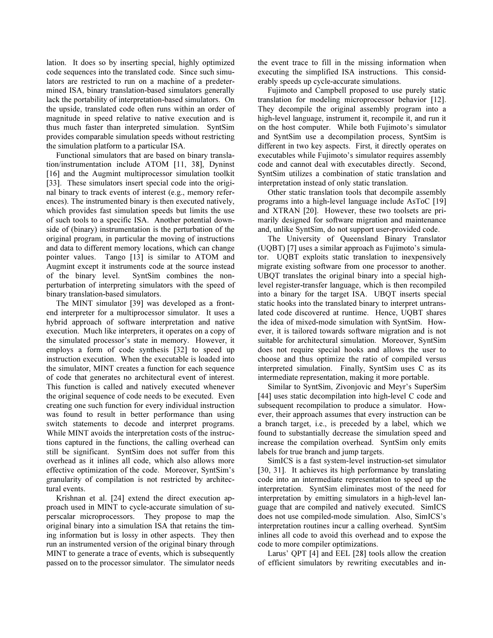lation. It does so by inserting special, highly optimized code sequences into the translated code. Since such simulators are restricted to run on a machine of a predetermined ISA, binary translation-based simulators generally lack the portability of interpretation-based simulators. On the upside, translated code often runs within an order of magnitude in speed relative to native execution and is thus much faster than interpreted simulation. SyntSim provides comparable simulation speeds without restricting the simulation platform to a particular ISA.

Functional simulators that are based on binary translation/instrumentation include ATOM [11, 38], Dyninst [16] and the Augmint multiprocessor simulation toolkit [33]. These simulators insert special code into the original binary to track events of interest (e.g., memory references). The instrumented binary is then executed natively, which provides fast simulation speeds but limits the use of such tools to a specific ISA. Another potential downside of (binary) instrumentation is the perturbation of the original program, in particular the moving of instructions and data to different memory locations, which can change pointer values. Tango [13] is similar to ATOM and Augmint except it instruments code at the source instead of the binary level. SyntSim combines the nonperturbation of interpreting simulators with the speed of binary translation-based simulators.

The MINT simulator [39] was developed as a frontend interpreter for a multiprocessor simulator. It uses a hybrid approach of software interpretation and native execution. Much like interpreters, it operates on a copy of the simulated processor's state in memory. However, it employs a form of code synthesis [32] to speed up instruction execution. When the executable is loaded into the simulator, MINT creates a function for each sequence of code that generates no architectural event of interest. This function is called and natively executed whenever the original sequence of code needs to be executed. Even creating one such function for every individual instruction was found to result in better performance than using switch statements to decode and interpret programs. While MINT avoids the interpretation costs of the instructions captured in the functions, the calling overhead can still be significant. SyntSim does not suffer from this overhead as it inlines all code, which also allows more effective optimization of the code. Moreover, SyntSim's granularity of compilation is not restricted by architectural events.

Krishnan et al. [24] extend the direct execution approach used in MINT to cycle-accurate simulation of superscalar microprocessors. They propose to map the original binary into a simulation ISA that retains the timing information but is lossy in other aspects. They then run an instrumented version of the original binary through MINT to generate a trace of events, which is subsequently passed on to the processor simulator. The simulator needs the event trace to fill in the missing information when executing the simplified ISA instructions. This considerably speeds up cycle-accurate simulations.

Fujimoto and Campbell proposed to use purely static translation for modeling microprocessor behavior [12]. They decompile the original assembly program into a high-level language, instrument it, recompile it, and run it on the host computer. While both Fujimoto's simulator and SyntSim use a decompilation process, SyntSim is different in two key aspects. First, it directly operates on executables while Fujimoto's simulator requires assembly code and cannot deal with executables directly. Second, SyntSim utilizes a combination of static translation and interpretation instead of only static translation.

Other static translation tools that decompile assembly programs into a high-level language include AsToC [19] and XTRAN [20]. However, these two toolsets are primarily designed for software migration and maintenance and, unlike SyntSim, do not support user-provided code.

The University of Queensland Binary Translator (UQBT) [7] uses a similar approach as Fujimoto's simulator. UQBT exploits static translation to inexpensively migrate existing software from one processor to another. UBQT translates the original binary into a special highlevel register-transfer language, which is then recompiled into a binary for the target ISA. UBQT inserts special static hooks into the translated binary to interpret untranslated code discovered at runtime. Hence, UQBT shares the idea of mixed-mode simulation with SyntSim. However, it is tailored towards software migration and is not suitable for architectural simulation. Moreover, SyntSim does not require special hooks and allows the user to choose and thus optimize the ratio of compiled versus interpreted simulation. Finally, SyntSim uses C as its intermediate representation, making it more portable.

Similar to SyntSim, Zivonjovic and Meyr's SuperSim [44] uses static decompilation into high-level C code and subsequent recompilation to produce a simulator. However, their approach assumes that every instruction can be a branch target, i.e., is preceded by a label, which we found to substantially decrease the simulation speed and increase the compilation overhead. SyntSim only emits labels for true branch and jump targets.

SimICS is a fast system-level instruction-set simulator [30, 31]. It achieves its high performance by translating code into an intermediate representation to speed up the interpretation. SyntSim eliminates most of the need for interpretation by emitting simulators in a high-level language that are compiled and natively executed. SimICS does not use compiled-mode simulation. Also, SimICS's interpretation routines incur a calling overhead. SyntSim inlines all code to avoid this overhead and to expose the code to more compiler optimizations.

Larus' QPT [4] and EEL [28] tools allow the creation of efficient simulators by rewriting executables and in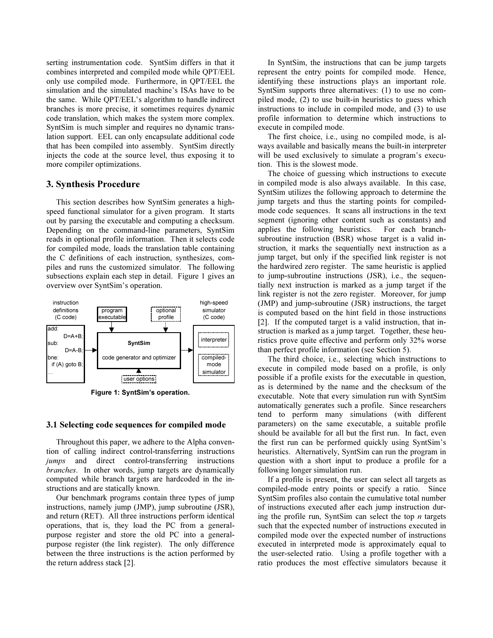serting instrumentation code. SyntSim differs in that it combines interpreted and compiled mode while QPT/EEL only use compiled mode. Furthermore, in QPT/EEL the simulation and the simulated machine's ISAs have to be the same. While QPT/EEL's algorithm to handle indirect branches is more precise, it sometimes requires dynamic code translation, which makes the system more complex. SyntSim is much simpler and requires no dynamic translation support. EEL can only encapsulate additional code that has been compiled into assembly. SyntSim directly injects the code at the source level, thus exposing it to more compiler optimizations.

## 3. Synthesis Procedure

This section describes how SyntSim generates a highspeed functional simulator for a given program. It starts out by parsing the executable and computing a checksum. Depending on the command-line parameters, SyntSim reads in optional profile information. Then it selects code for compiled mode, loads the translation table containing the C definitions of each instruction, synthesizes, compiles and runs the customized simulator. The following subsections explain each step in detail. Figure 1 gives an overview over SyntSim's operation.



Figure 1: SyntSim's operation.

#### 3.1 Selecting code sequences for compiled mode

Throughout this paper, we adhere to the Alpha convention of calling indirect control-transferring instructions jumps and direct control-transferring instructions branches. In other words, jump targets are dynamically computed while branch targets are hardcoded in the instructions and are statically known.

Our benchmark programs contain three types of jump instructions, namely jump (JMP), jump subroutine (JSR), and return (RET). All three instructions perform identical operations, that is, they load the PC from a generalpurpose register and store the old PC into a generalpurpose register (the link register). The only difference between the three instructions is the action performed by the return address stack [2].

In SyntSim, the instructions that can be jump targets represent the entry points for compiled mode. Hence, identifying these instructions plays an important role. SyntSim supports three alternatives: (1) to use no compiled mode, (2) to use built-in heuristics to guess which instructions to include in compiled mode, and (3) to use profile information to determine which instructions to execute in compiled mode.

The first choice, i.e., using no compiled mode, is always available and basically means the built-in interpreter will be used exclusively to simulate a program's execution. This is the slowest mode.

The choice of guessing which instructions to execute in compiled mode is also always available. In this case, SyntSim utilizes the following approach to determine the jump targets and thus the starting points for compiledmode code sequences. It scans all instructions in the text segment (ignoring other content such as constants) and applies the following heuristics. For each branchsubroutine instruction (BSR) whose target is a valid instruction, it marks the sequentially next instruction as a jump target, but only if the specified link register is not the hardwired zero register. The same heuristic is applied to jump-subroutine instructions (JSR), i.e., the sequentially next instruction is marked as a jump target if the link register is not the zero register. Moreover, for jump (JMP) and jump-subroutine (JSR) instructions, the target is computed based on the hint field in those instructions [2]. If the computed target is a valid instruction, that instruction is marked as a jump target. Together, these heuristics prove quite effective and perform only 32% worse than perfect profile information (see Section 5).

The third choice, i.e., selecting which instructions to execute in compiled mode based on a profile, is only possible if a profile exists for the executable in question, as is determined by the name and the checksum of the executable. Note that every simulation run with SyntSim automatically generates such a profile. Since researchers tend to perform many simulations (with different parameters) on the same executable, a suitable profile should be available for all but the first run. In fact, even the first run can be performed quickly using SyntSim's heuristics. Alternatively, SyntSim can run the program in question with a short input to produce a profile for a following longer simulation run.

If a profile is present, the user can select all targets as compiled-mode entry points or specify a ratio. Since SyntSim profiles also contain the cumulative total number of instructions executed after each jump instruction during the profile run, SyntSim can select the top  $n$  targets such that the expected number of instructions executed in compiled mode over the expected number of instructions executed in interpreted mode is approximately equal to the user-selected ratio. Using a profile together with a ratio produces the most effective simulators because it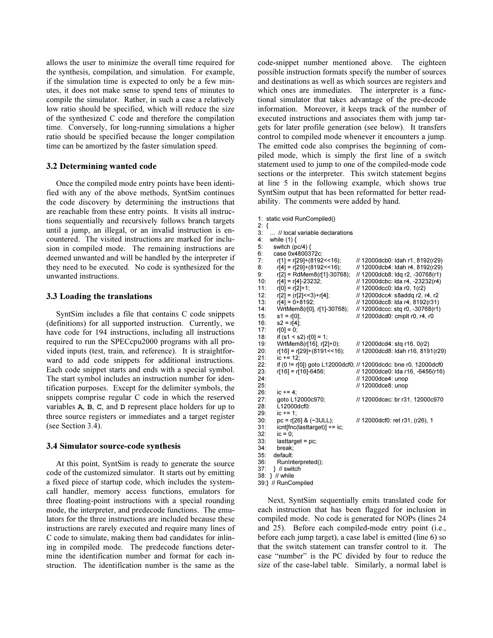allows the user to minimize the overall time required for the synthesis, compilation, and simulation. For example, if the simulation time is expected to only be a few minutes, it does not make sense to spend tens of minutes to compile the simulator. Rather, in such a case a relatively low ratio should be specified, which will reduce the size of the synthesized C code and therefore the compilation time. Conversely, for long-running simulations a higher ratio should be specified because the longer compilation time can be amortized by the faster simulation speed.

## 3.2 Determining wanted code

Once the compiled mode entry points have been identified with any of the above methods, SyntSim continues the code discovery by determining the instructions that are reachable from these entry points. It visits all instructions sequentially and recursively follows branch targets until a jump, an illegal, or an invalid instruction is encountered. The visited instructions are marked for inclusion in compiled mode. The remaining instructions are deemed unwanted and will be handled by the interpreter if they need to be executed. No code is synthesized for the unwanted instructions.

#### 3.3 Loading the translations

SyntSim includes a file that contains C code snippets (definitions) for all supported instruction. Currently, we have code for 194 instructions, including all instructions required to run the SPECcpu2000 programs with all provided inputs (test, train, and reference). It is straightforward to add code snippets for additional instructions. Each code snippet starts and ends with a special symbol. The start symbol includes an instruction number for identification purposes. Except for the delimiter symbols, the snippets comprise regular C code in which the reserved variables A, B, C, and D represent place holders for up to three source registers or immediates and a target register (see Section 3.4).

#### 3.4 Simulator source-code synthesis

At this point, SyntSim is ready to generate the source code of the customized simulator. It starts out by emitting a fixed piece of startup code, which includes the systemcall handler, memory access functions, emulators for three floating-point instructions with a special rounding mode, the interpreter, and predecode functions. The emulators for the three instructions are included because these instructions are rarely executed and require many lines of C code to simulate, making them bad candidates for inlining in compiled mode. The predecode functions determine the identification number and format for each instruction. The identification number is the same as the

code-snippet number mentioned above. The eighteen possible instruction formats specify the number of sources and destinations as well as which sources are registers and which ones are immediates. The interpreter is a functional simulator that takes advantage of the pre-decode information. Moreover, it keeps track of the number of executed instructions and associates them with jump targets for later profile generation (see below). It transfers control to compiled mode whenever it encounters a jump. The emitted code also comprises the beginning of compiled mode, which is simply the first line of a switch statement used to jump to one of the compiled-mode code sections or the interpreter. This switch statement begins at line 5 in the following example, which shows true SyntSim output that has been reformatted for better readability. The comments were added by hand.

```
1: static void RunCompiled() 
2: { 
3: \ldots // local variable declarations<br>4: while (1) {
4: while (1) {<br>5: switch (n)
5: switch (pc/4) { 
       case 0x4800372c:<br>r[1] = r[29]+(8192<<16);
7: r[1] = r[29]+(8192<<16); // 12000dcb0: ldah r1, 8192(r29) 
8: r[4] = r[29]+(8192<<16); // 12000dcb4: ldah r4, 8192(r29)<br>9: r[2] = RdMem8(r[1]-30768); // 12000dcb8: ldq r2, -30768(r1)
9: r[2] = RdMem8(r[1]-30768); // 12000dcb8: ldq r2, -30768(r1)<br>10: r[4] = r[4]-23232; // 12000dcbc: lda r4, -23232(r4)
                                                 1/12000dcbc: lda r4, -23232(r4)
11: r[0] = r[2]+1; // 12000dcc0: lda r0, 1(r2)<br>12: r[2] = (r[2] < < 3) + r[4]; // 12000dcc4: s8addq r2, r
12: r[2] = (r[2] < < 3) + r[4]; // 12000dcc4: s8addq r2, r4, r2<br>13: r[4] = 0 + 8192; // 12000dcc8: Ida r4, 8192(r31)
         r[4] = 0 + 8192; 1200000 \text{ c} \cdot 1<br>14 = 0 + 8192(r31)<br>20768(r1)<br>1420000 \text{ c} \cdot 1 if 120000 \text{ c} \cdot 1 if 120000 \text{ c} if 10000 \text{ c} if 10000 \text{ c}14: WrtMem8(r[0], r[1]-30768); // 12000dccc: stq r0, -30768(r1) 
15: s1 = r[0];<br>16: s2 = r[4];
         s2 = r[4];17: r[0] = 0;<br>18: if (s1 < s)
18: if (s1 < s2) r[0] = 1;<br>19: WrtMem8(r[16], r[2]+0);
19: WrtMem8(r[16], r[2]+0); // 12000dcd4: stq r16, 0(r2) 
20: r[16] = r[29]+(8191<<16); // 12000dcd8: ldah r16, 8191(r29)<br>21: ic += 12:
         ic += 12;
22: if (0 != r[0]) goto L12000dcf0; // 12000dcdc: bne r0, 12000dcf0<br>23: r[16] = r[16]-6456; // 12000dce0: lda r16, -6456(r16)
23: r[16] = r[16] - 6456; // 12000dce0: lda r16, -6456(r16)<br>24: // 12000dce4: unop
                                                 // 12000dce4: unop
25: // 12000dce8: unop 
26: ic += 4;<br>27: goto L12000c970;
27: goto L12000c970; // 12000dcec: br r31, 12000c970<br>28: 112000dcf0: //
         L12000dcf0:
29: ic += 1;<br>30: pc = r[26] & (~3ULL);
30: pc = r[26] & (~3ULL); // 12000dcf0: ret r31, (r26), 1
31: int[inc(lasttarget)] == ic;<br>32: ic = 0;i \cdot c = 0:
33: lasttarget = pc;<br>34: break:
34: break;<br>35: default:
35: default:<br>36: Runln
         RunInterpreted();
37: } // switch 
38: } // while 
39:} // RunCompiled
```
Next, SyntSim sequentially emits translated code for each instruction that has been flagged for inclusion in compiled mode. No code is generated for NOPs (lines 24 and 25). Before each compiled-mode entry point (i.e., before each jump target), a case label is emitted (line 6) so that the switch statement can transfer control to it. The case "number" is the PC divided by four to reduce the size of the case-label table. Similarly, a normal label is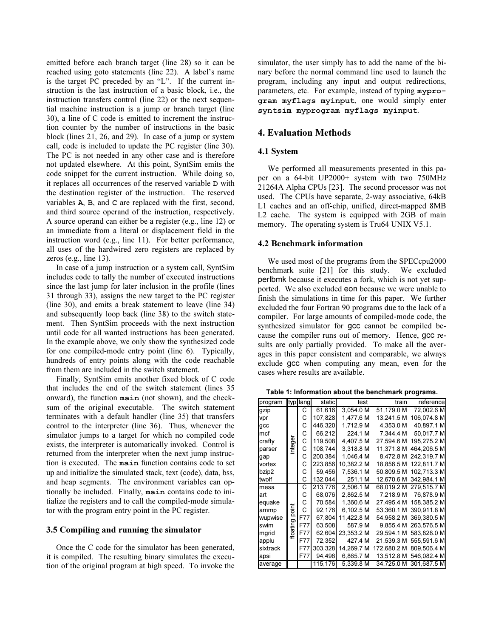emitted before each branch target (line 28) so it can be reached using goto statements (line 22). A label's name is the target PC preceded by an "L". If the current instruction is the last instruction of a basic block, i.e., the instruction transfers control (line 22) or the next sequential machine instruction is a jump or branch target (line 30), a line of C code is emitted to increment the instruction counter by the number of instructions in the basic block (lines 21, 26, and 29). In case of a jump or system call, code is included to update the PC register (line 30). The PC is not needed in any other case and is therefore not updated elsewhere. At this point, SyntSim emits the code snippet for the current instruction. While doing so, it replaces all occurrences of the reserved variable D with the destination register of the instruction. The reserved variables A, B, and C are replaced with the first, second, and third source operand of the instruction, respectively. A source operand can either be a register (e.g., line 12) or an immediate from a literal or displacement field in the instruction word (e.g., line 11). For better performance, all uses of the hardwired zero registers are replaced by zeros (e.g., line 13).

In case of a jump instruction or a system call, SyntSim includes code to tally the number of executed instructions since the last jump for later inclusion in the profile (lines 31 through 33), assigns the new target to the PC register (line 30), and emits a break statement to leave (line 34) and subsequently loop back (line 38) to the switch statement. Then SyntSim proceeds with the next instruction until code for all wanted instructions has been generated. In the example above, we only show the synthesized code for one compiled-mode entry point (line 6). Typically, hundreds of entry points along with the code reachable from them are included in the switch statement.

Finally, SyntSim emits another fixed block of C code that includes the end of the switch statement (lines 35 onward), the function main (not shown), and the checksum of the original executable. The switch statement terminates with a default handler (line 35) that transfers control to the interpreter (line 36). Thus, whenever the simulator jumps to a target for which no compiled code exists, the interpreter is automatically invoked. Control is returned from the interpreter when the next jump instruction is executed. The main function contains code to set up and initialize the simulated stack, text (code), data, bss, and heap segments. The environment variables can optionally be included. Finally, main contains code to initialize the registers and to call the compiled-mode simulator with the program entry point in the PC register.

## 3.5 Compiling and running the simulator

Once the C code for the simulator has been generated, it is compiled. The resulting binary simulates the execution of the original program at high speed. To invoke the simulator, the user simply has to add the name of the binary before the normal command line used to launch the program, including any input and output redirections, parameters, etc. For example, instead of typing myprogram myflags myinput, one would simply enter syntsim myprogram myflags myinput.

## 4. Evaluation Methods

### 4.1 System

We performed all measurements presented in this paper on a 64-bit UP2000+ system with two 750MHz 21264A Alpha CPUs [23]. The second processor was not used. The CPUs have separate, 2-way associative, 64kB L1 caches and an off-chip, unified, direct-mapped 8MB L<sub>2</sub> cache. The system is equipped with 2GB of main memory. The operating system is Tru64 UNIX V5.1.

#### 4.2 Benchmark information

We used most of the programs from the SPECcpu2000 benchmark suite [21] for this study. We excluded perlbmk because it executes a fork, which is not yet supported. We also excluded eon because we were unable to finish the simulations in time for this paper. We further excluded the four Fortran 90 programs due to the lack of a compiler. For large amounts of compiled-mode code, the synthesized simulator for gcc cannot be compiled because the compiler runs out of memory. Hence, gcc results are only partially provided. To make all the averages in this paper consistent and comparable, we always exclude gcc when computing any mean, even for the cases where results are available.

Table 1: Information about the benchmark programs.

| program  |                 | typ lang | static  | test       | train       | reference              |
|----------|-----------------|----------|---------|------------|-------------|------------------------|
| gzip     |                 | С        | 61.616  | 3.054.0 M  | 51.179.0 M  | 72.002.6 M             |
| vpr      |                 | С        | 107.828 | 1.477.6 M  | 13.241.5 M  | 106.074.8 M            |
| gcc      |                 | С        | 446.320 | 1.712.9 M  | 4.353.0 M   | 40.897.1 M             |
| mcf      |                 | С        | 66,212  | 224.1 M    | 7.344.4 M   | 50.017.7 M             |
| crafty   |                 | С        | 119.508 | 4.407.5 M  | 27.594.6 M  | 195.275.2 M            |
| parser   | nteger          | С        | 108,744 | 3,318.8 M  | 11,371.8 M  | 464,206.5 M            |
| gap      |                 | С        | 200,384 | 1.046.4 M  | 8.472.8 M   | 242.319.7 M            |
| vortex   |                 | С        | 223,856 | 10,382.2 M | 18,856.5 M  | 122,811.7 M            |
| bzip2    |                 | C        | 59,456  | 7.536.1 M  | 50.809.5 M  | 102,713.3 M            |
| twolf    |                 | С        | 132,044 | 251.1 M    | 12,670.6 M  | 342,984.1 M            |
| mesa     |                 | С        | 213.776 | 2.506.1 M  |             | 68.019.2 M 279.515.7 M |
| art      |                 | C        | 68.076  | 2,862.5 M  |             | 7,218.9 M 76,878.9 M   |
| equake   |                 | С        | 70,584  | 1,360.6 M  |             | 27,495.4 M 158,385.2 M |
| ammp     | Ξ               | C        | 92,176  | 6.102.5 M  | 53.360.1 M  | 390.911.8 M            |
| wupwise  | $\Omega$<br>စွာ | F77      | 67,804  | 11.422.8 M | 54,958.2 M  | 369,380.5 M            |
| swim     | floating        | F77      | 63,508  | 587.9 M    | 9.855.4 M   | 263.576.5 M            |
| mgrid    |                 | F77      | 62,604  | 23,353.2 M | 29,594.1 M  | 583.828.0 M            |
| applu    |                 | F77      | 72,352  | 427.4 M    | 21,539.3 M  | 555,591.6 M            |
| sixtrack |                 | F77      | 303,328 | 14,269.7 M | 172.680.2 M | 809.506.4 M            |
| apsi     |                 | F77      | 94,496  | 6,865.7 M  | 13,512.8 M  | 546,082.4 M            |
| average  |                 |          | 115,176 | 5.339.8 M  |             | 34,725.0 M 301,687.5 M |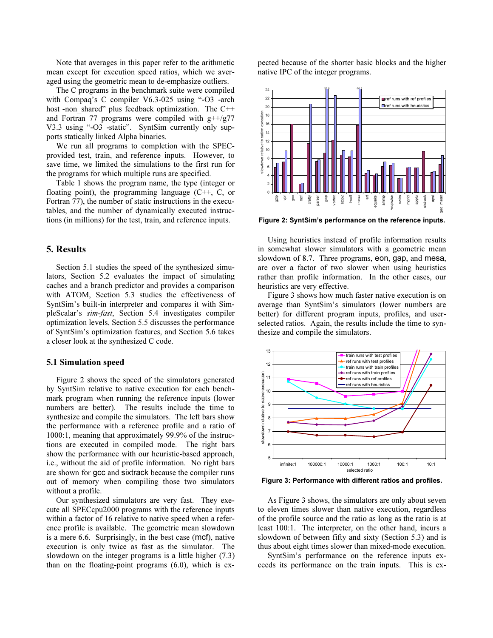Note that averages in this paper refer to the arithmetic mean except for execution speed ratios, which we averaged using the geometric mean to de-emphasize outliers.

The C programs in the benchmark suite were compiled with Compaq's C compiler V6.3-025 using "-O3 -arch" host -non shared" plus feedback optimization. The  $C++$ and Fortran 77 programs were compiled with  $g$ ++/g77 V3.3 using "-O3 -static". SyntSim currently only supports statically linked Alpha binaries.

We run all programs to completion with the SPECprovided test, train, and reference inputs. However, to save time, we limited the simulations to the first run for the programs for which multiple runs are specified.

Table 1 shows the program name, the type (integer or floating point), the programming language  $(C^{++}, C, or)$ Fortran 77), the number of static instructions in the executables, and the number of dynamically executed instructions (in millions) for the test, train, and reference inputs.

## 5. Results

Section 5.1 studies the speed of the synthesized simulators, Section 5.2 evaluates the impact of simulating caches and a branch predictor and provides a comparison with ATOM, Section 5.3 studies the effectiveness of SyntSim's built-in interpreter and compares it with SimpleScalar's sim-fast, Section 5.4 investigates compiler optimization levels, Section 5.5 discusses the performance of SyntSim's optimization features, and Section 5.6 takes a closer look at the synthesized C code.

#### 5.1 Simulation speed

Figure 2 shows the speed of the simulators generated by SyntSim relative to native execution for each benchmark program when running the reference inputs (lower numbers are better). The results include the time to synthesize and compile the simulators. The left bars show the performance with a reference profile and a ratio of 1000:1, meaning that approximately 99.9% of the instructions are executed in compiled mode. The right bars show the performance with our heuristic-based approach, i.e., without the aid of profile information. No right bars are shown for gcc and sixtrack because the compiler runs out of memory when compiling those two simulators without a profile.

Our synthesized simulators are very fast. They execute all SPECcpu2000 programs with the reference inputs within a factor of 16 relative to native speed when a reference profile is available. The geometric mean slowdown is a mere 6.6. Surprisingly, in the best case (mcf), native execution is only twice as fast as the simulator. The slowdown on the integer programs is a little higher (7.3) than on the floating-point programs (6.0), which is ex-

pected because of the shorter basic blocks and the higher native IPC of the integer programs.



Figure 2: SyntSim's performance on the reference inputs.

Using heuristics instead of profile information results in somewhat slower simulators with a geometric mean slowdown of 8.7. Three programs, eon, gap, and mesa, are over a factor of two slower when using heuristics rather than profile information. In the other cases, our heuristics are very effective.

Figure 3 shows how much faster native execution is on average than SyntSim's simulators (lower numbers are better) for different program inputs, profiles, and userselected ratios. Again, the results include the time to synthesize and compile the simulators.



Figure 3: Performance with different ratios and profiles.

As Figure 3 shows, the simulators are only about seven to eleven times slower than native execution, regardless of the profile source and the ratio as long as the ratio is at least 100:1. The interpreter, on the other hand, incurs a slowdown of between fifty and sixty (Section 5.3) and is thus about eight times slower than mixed-mode execution.

SyntSim's performance on the reference inputs exceeds its performance on the train inputs. This is ex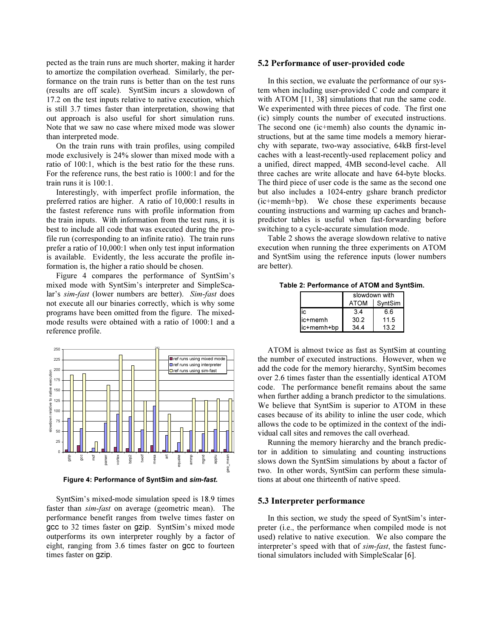pected as the train runs are much shorter, making it harder to amortize the compilation overhead. Similarly, the performance on the train runs is better than on the test runs (results are off scale). SyntSim incurs a slowdown of 17.2 on the test inputs relative to native execution, which is still 3.7 times faster than interpretation, showing that out approach is also useful for short simulation runs. Note that we saw no case where mixed mode was slower than interpreted mode.

On the train runs with train profiles, using compiled mode exclusively is 24% slower than mixed mode with a ratio of 100:1, which is the best ratio for the these runs. For the reference runs, the best ratio is 1000:1 and for the train runs it is 100:1.

Interestingly, with imperfect profile information, the preferred ratios are higher. A ratio of 10,000:1 results in the fastest reference runs with profile information from the train inputs. With information from the test runs, it is best to include all code that was executed during the profile run (corresponding to an infinite ratio). The train runs prefer a ratio of 10,000:1 when only test input information is available. Evidently, the less accurate the profile information is, the higher a ratio should be chosen.

Figure 4 compares the performance of SyntSim's mixed mode with SyntSim's interpreter and SimpleScalar's sim-fast (lower numbers are better). Sim-fast does not execute all our binaries correctly, which is why some programs have been omitted from the figure. The mixedmode results were obtained with a ratio of 1000:1 and a reference profile.



Figure 4: Performance of SyntSim and sim-fast.

SyntSim's mixed-mode simulation speed is 18.9 times faster than *sim-fast* on average (geometric mean). The performance benefit ranges from twelve times faster on gcc to 32 times faster on gzip. SyntSim's mixed mode outperforms its own interpreter roughly by a factor of eight, ranging from 3.6 times faster on gcc to fourteen times faster on gzip.

#### 5.2 Performance of user-provided code

In this section, we evaluate the performance of our system when including user-provided C code and compare it with ATOM [11, 38] simulations that run the same code. We experimented with three pieces of code. The first one (ic) simply counts the number of executed instructions. The second one (ic+memh) also counts the dynamic instructions, but at the same time models a memory hierarchy with separate, two-way associative, 64kB first-level caches with a least-recently-used replacement policy and a unified, direct mapped, 4MB second-level cache. All three caches are write allocate and have 64-byte blocks. The third piece of user code is the same as the second one but also includes a 1024-entry gshare branch predictor (ic+memh+bp). We chose these experiments because counting instructions and warming up caches and branchpredictor tables is useful when fast-forwarding before switching to a cycle-accurate simulation mode.

Table 2 shows the average slowdown relative to native execution when running the three experiments on ATOM and SyntSim using the reference inputs (lower numbers are better).

Table 2: Performance of ATOM and SyntSim.

|            | slowdown with          |      |  |
|------------|------------------------|------|--|
|            | <b>ATOM</b><br>SyntSim |      |  |
| ic.        | 34                     | 66   |  |
| lic+memh   | 302                    | 11.5 |  |
| ic+memh+bp | 344                    | 132  |  |

ATOM is almost twice as fast as SyntSim at counting the number of executed instructions. However, when we add the code for the memory hierarchy, SyntSim becomes over 2.6 times faster than the essentially identical ATOM code. The performance benefit remains about the same when further adding a branch predictor to the simulations. We believe that SyntSim is superior to ATOM in these cases because of its ability to inline the user code, which allows the code to be optimized in the context of the individual call sites and removes the call overhead.

Running the memory hierarchy and the branch predictor in addition to simulating and counting instructions slows down the SyntSim simulations by about a factor of two. In other words, SyntSim can perform these simulations at about one thirteenth of native speed.

#### 5.3 Interpreter performance

In this section, we study the speed of SyntSim's interpreter (i.e., the performance when compiled mode is not used) relative to native execution. We also compare the interpreter's speed with that of sim-fast, the fastest functional simulators included with SimpleScalar [6].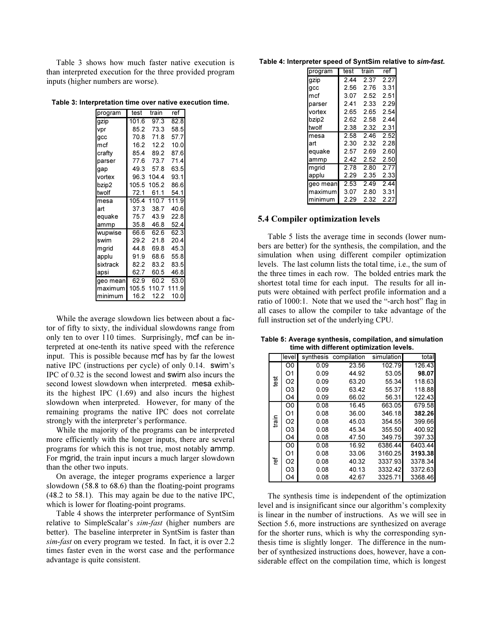Table 3 shows how much faster native execution is than interpreted execution for the three provided program inputs (higher numbers are worse).

Table 3: Interpretation time over native execution time.

| program  | test  | train             | ref         |
|----------|-------|-------------------|-------------|
| gzip     | 101.6 | $\overline{97.3}$ | 82.8        |
| vpr      | 85.2  | 73.3              | 58.5        |
| gcc      | 70.8  | 71.8              | 57.7        |
| mcf      | 16.2  | 12.2              | 10.0        |
| crafty   | 85.4  | 89.2              | 87.6        |
| parser   | 77.6  | 73.7              | 71.4        |
| gap      | 49.3  | 57.8              | 63.5        |
| vortex   | 96.3  | 104.4             | 93.1        |
| bzip2    | 105.5 | 105.2             | 86.6        |
| twolf    | 72.1  | 61.1              | 54.1        |
| mesa     | 105.4 |                   | 110.7 111.9 |
| art      | 37.3  | 38.7              | 40.6        |
| equake   | 75.7  | 43.9              | 22.8        |
| ammp     |       | 35.8 46.8         | 52.4        |
| wupwise  | 66.6  | 62.6.             | 62.3        |
| swim     | 29.2  | 21.8              | 20.4        |
| mgrid    | 44.8  | 69.8              | 45.3        |
| applu    | 91.9  | 68.6              | 55.8        |
| sixtrack | 82.2  | 83.2              | 83.5        |
| apsi     | 62.7  | 60.5              | 46.8        |
| geo mean | 62.9  | 60.2              | 53.0        |
| maximum  | 105.5 | 110.7             | 111.9       |
| minimum  | 16.2  | 12.2              | 10.0        |

While the average slowdown lies between about a factor of fifty to sixty, the individual slowdowns range from only ten to over 110 times. Surprisingly, mcf can be interpreted at one-tenth its native speed with the reference input. This is possible because mcf has by far the lowest native IPC (instructions per cycle) of only 0.14. swim's IPC of 0.32 is the second lowest and swim also incurs the second lowest slowdown when interpreted. mesa exhibits the highest IPC (1.69) and also incurs the highest slowdown when interpreted. However, for many of the remaining programs the native IPC does not correlate strongly with the interpreter's performance.

While the majority of the programs can be interpreted more efficiently with the longer inputs, there are several programs for which this is not true, most notably ammp. For mgrid, the train input incurs a much larger slowdown than the other two inputs.

On average, the integer programs experience a larger slowdown (58.8 to 68.6) than the floating-point programs (48.2 to 58.1). This may again be due to the native IPC, which is lower for floating-point programs.

Table 4 shows the interpreter performance of SyntSim relative to SimpleScalar's sim-fast (higher numbers are better). The baseline interpreter in SyntSim is faster than sim-fast on every program we tested. In fact, it is over 2.2 times faster even in the worst case and the performance advantage is quite consistent.

Table 4: Interpreter speed of SyntSim relative to sim-fast.

| program  | test | train | ref  |
|----------|------|-------|------|
| gzip     | 2 44 | 2.37  | 2.27 |
| gcc      | 2.56 | 2 76  | 3.31 |
| mcf      | 3.07 | 2.52  | 2.51 |
| parser   | 2.41 | 2.33  | 2.29 |
| vortex   | 2.65 | 2.65  | 2.54 |
| bzip2    | 2.62 | 2.58  | 2.44 |
| twolf    | 2.38 | 2.32  | 2.31 |
| mesa     | 2.58 | 246   | 2.52 |
| art      | 2.30 | 2.32  | 2.28 |
| equake   | 2.57 | 2.69  | 2.60 |
| ammp     | 2.42 | 2.52  | 2.50 |
| marid    | 2.78 | 2.80  | 2.77 |
| applu    | 2.29 | 2.35  | 2.33 |
| qeo mean | 2.53 | 2.49  | 2.44 |
| maximum  | 3.07 | 2.80  | 3.31 |
| nımum    | 2.29 | 2.32  | 2.27 |

#### 5.4 Compiler optimization levels

Table 5 lists the average time in seconds (lower numbers are better) for the synthesis, the compilation, and the simulation when using different compiler optimization levels. The last column lists the total time, i.e., the sum of the three times in each row. The bolded entries mark the shortest total time for each input. The results for all inputs were obtained with perfect profile information and a ratio of 1000:1. Note that we used the "-arch host" flag in all cases to allow the compiler to take advantage of the full instruction set of the underlying CPU.

|       | level          |      | synthesis compilation | simulation | total   |
|-------|----------------|------|-----------------------|------------|---------|
|       | O0             | 0.09 | 23.56                 | 102.79     | 126.43  |
|       | O1             | 0.09 | 44.92                 | 53.05      | 98.07   |
| test  | O <sub>2</sub> | 0.09 | 63.20                 | 55.34      | 118.63  |
|       | O <sub>3</sub> | 0.09 | 63.42                 | 55.37      | 118.88  |
|       | O4             | 0.09 | 66.02                 | 56.31      | 122.43  |
|       | O0             | 0.08 | 16.45                 | 663.05     | 679.58  |
|       | O1             | 0.08 | 36.00                 | 346.18     | 382.26  |
| train | O <sub>2</sub> | 0.08 | 45.03                 | 354.55     | 399.66  |
|       | O <sub>3</sub> | 0.08 | 45.34                 | 355.50     | 400.92  |
|       | O4             | 0.08 | 47.50                 | 349.75     | 397.33  |
|       | O0             | 0.08 | 16.92                 | 6386.44    | 6403.44 |
|       | O1             | 0.08 | 33.06                 | 3160.25    | 3193.38 |
| ፟፟፟፼  | O <sub>2</sub> | 0.08 | 40.32                 | 3337.93    | 3378.34 |
|       | O <sub>3</sub> | 0.08 | 40.13                 | 3332.42    | 3372.63 |
|       | O4             | 0.08 | 42.67                 | 3325.71    | 3368.46 |

Table 5: Average synthesis, compilation, and simulation time with different optimization levels.

The synthesis time is independent of the optimization level and is insignificant since our algorithm's complexity is linear in the number of instructions. As we will see in Section 5.6, more instructions are synthesized on average for the shorter runs, which is why the corresponding synthesis time is slightly longer. The difference in the number of synthesized instructions does, however, have a considerable effect on the compilation time, which is longest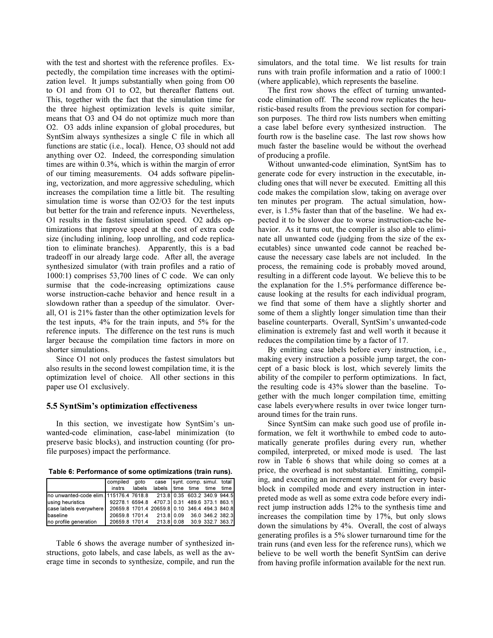with the test and shortest with the reference profiles. Expectedly, the compilation time increases with the optimization level. It jumps substantially when going from O0 to O1 and from O1 to O2, but thereafter flattens out. This, together with the fact that the simulation time for the three highest optimization levels is quite similar, means that O3 and O4 do not optimize much more than O2. O3 adds inline expansion of global procedures, but SyntSim always synthesizes a single C file in which all functions are static (i.e., local). Hence, O3 should not add anything over O2. Indeed, the corresponding simulation times are within 0.3%, which is within the margin of error of our timing measurements. O4 adds software pipelining, vectorization, and more aggressive scheduling, which increases the compilation time a little bit. The resulting simulation time is worse than O2/O3 for the test inputs but better for the train and reference inputs. Nevertheless, O1 results in the fastest simulation speed. O2 adds optimizations that improve speed at the cost of extra code size (including inlining, loop unrolling, and code replication to eliminate branches). Apparently, this is a bad tradeoff in our already large code. After all, the average synthesized simulator (with train profiles and a ratio of 1000:1) comprises 53,700 lines of C code. We can only surmise that the code-increasing optimizations cause worse instruction-cache behavior and hence result in a slowdown rather than a speedup of the simulator. Overall, O1 is 21% faster than the other optimization levels for the test inputs, 4% for the train inputs, and 5% for the reference inputs. The difference on the test runs is much larger because the compilation time factors in more on shorter simulations.

Since O1 not only produces the fastest simulators but also results in the second lowest compilation time, it is the optimization level of choice. All other sections in this paper use O1 exclusively.

#### 5.5 SyntSim's optimization effectiveness

In this section, we investigate how SyntSim's unwanted-code elimination, case-label minimization (to preserve basic blocks), and instruction counting (for profile purposes) impact the performance.

Table 6: Performance of some optimizations (train runs).

|                                                                      | compiled                                   | aoto   | case synt. comp. simul. total                |  |  |
|----------------------------------------------------------------------|--------------------------------------------|--------|----------------------------------------------|--|--|
|                                                                      | instrs                                     | labels | labels time time time time                   |  |  |
| no unwanted-code elim. 115176.4 7618.8 213.8 0.35 603.2 340.9 944.5  |                                            |        |                                              |  |  |
| using heuristics                                                     |                                            |        | 92278.1 6594.8 4707.3 0.31 489.6 373.1 863.1 |  |  |
| case labels everywhere 20659.8 1701.4 20659.8 0.10 346.4 494.3 840.8 |                                            |        |                                              |  |  |
| baseline                                                             |                                            |        | 20659.8 1701.4 213.8 0.09 36.0 346.2 382.3   |  |  |
| no profile generation                                                | 20659.8 1701.4 213.8 0.08 30.9 332.7 363.7 |        |                                              |  |  |

Table 6 shows the average number of synthesized instructions, goto labels, and case labels, as well as the average time in seconds to synthesize, compile, and run the simulators, and the total time. We list results for train runs with train profile information and a ratio of 1000:1 (where applicable), which represents the baseline.

The first row shows the effect of turning unwantedcode elimination off. The second row replicates the heuristic-based results from the previous section for comparison purposes. The third row lists numbers when emitting a case label before every synthesized instruction. The fourth row is the baseline case. The last row shows how much faster the baseline would be without the overhead of producing a profile.

Without unwanted-code elimination, SyntSim has to generate code for every instruction in the executable, including ones that will never be executed. Emitting all this code makes the compilation slow, taking on average over ten minutes per program. The actual simulation, however, is 1.5% faster than that of the baseline. We had expected it to be slower due to worse instruction-cache behavior. As it turns out, the compiler is also able to eliminate all unwanted code (judging from the size of the executables) since unwanted code cannot be reached because the necessary case labels are not included. In the process, the remaining code is probably moved around, resulting in a different code layout. We believe this to be the explanation for the 1.5% performance difference because looking at the results for each individual program, we find that some of them have a slightly shorter and some of them a slightly longer simulation time than their baseline counterparts. Overall, SyntSim's unwanted-code elimination is extremely fast and well worth it because it reduces the compilation time by a factor of 17.

By emitting case labels before every instruction, i.e., making every instruction a possible jump target, the concept of a basic block is lost, which severely limits the ability of the compiler to perform optimizations. In fact, the resulting code is 43% slower than the baseline. Together with the much longer compilation time, emitting case labels everywhere results in over twice longer turnaround times for the train runs.

Since SyntSim can make such good use of profile information, we felt it worthwhile to embed code to automatically generate profiles during every run, whether compiled, interpreted, or mixed mode is used. The last row in Table 6 shows that while doing so comes at a price, the overhead is not substantial. Emitting, compiling, and executing an increment statement for every basic block in compiled mode and every instruction in interpreted mode as well as some extra code before every indirect jump instruction adds 12% to the synthesis time and increases the compilation time by 17%, but only slows down the simulations by 4%. Overall, the cost of always generating profiles is a 5% slower turnaround time for the train runs (and even less for the reference runs), which we believe to be well worth the benefit SyntSim can derive from having profile information available for the next run.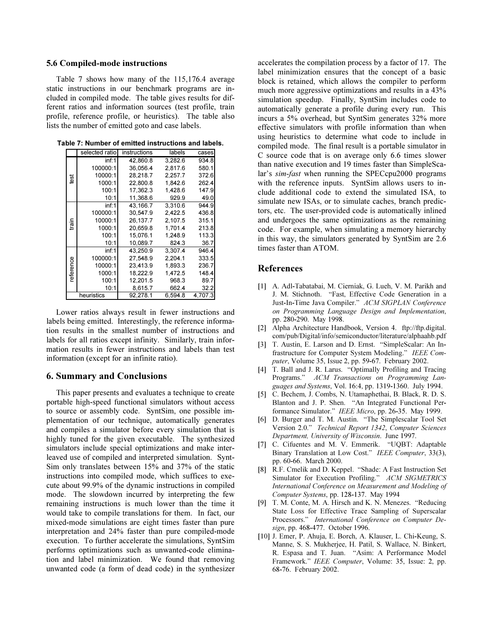#### 5.6 Compiled-mode instructions

Table 7 shows how many of the 115,176.4 average static instructions in our benchmark programs are included in compiled mode. The table gives results for different ratios and information sources (test profile, train profile, reference profile, or heuristics). The table also lists the number of emitted goto and case labels.

| Table 7: Number of emitted instructions and labels. |  |  |  |
|-----------------------------------------------------|--|--|--|
|-----------------------------------------------------|--|--|--|

|            | selected ratiol | instructions | labels  | cases   |
|------------|-----------------|--------------|---------|---------|
|            | inf:1           | 42.860.8     | 3.282.6 | 934.8   |
|            | 100000:1        | 36.056.4     | 2.817.6 | 580.1   |
| Iest       | 10000:1         | 28.218.7     | 2.257.7 | 372.6   |
|            | 1000:1          | 22.800.8     | 1,842.6 | 262.4   |
|            | 100:1           | 17,362.3     | 1.428.6 | 147.9   |
|            | 10:1            | 11,368.6     | 929.9   | 49.0    |
|            | inf:1           | 43.166.7     | 3.310.6 | 944.9   |
|            | 100000:1        | 30.547.9     | 2.422.5 | 436.8   |
| train      | 10000:1         | 26.137.7     | 2.107.5 | 315.1   |
|            | 1000:1          | 20.659.8     | 1.701.4 | 213.8   |
|            | 100:1           | 15,076.1     | 1.248.9 | 113.3   |
|            | 10:1            | 10,089.7     | 824.3   | 36.7    |
|            | inf:1           | 43.250.9     | 3.307.4 | 946.4   |
|            | 100000:1        | 27.548.9     | 2.204.1 | 333.5   |
| reference  | 10000:1         | 23,413.9     | 1,893.3 | 236.7   |
|            | 1000:1          | 18.222.9     | 1.472.5 | 148.4   |
|            | 100:1           | 12.201.5     | 968.3   | 89.7    |
|            | 10:1            | 8.615.7      | 662.4   | 32.2    |
| heuristics |                 | 92,278.1     | 6,594.8 | 4,707.3 |

Lower ratios always result in fewer instructions and labels being emitted. Interestingly, the reference information results in the smallest number of instructions and labels for all ratios except infinity. Similarly, train information results in fewer instructions and labels than test information (except for an infinite ratio).

## 6. Summary and Conclusions

This paper presents and evaluates a technique to create portable high-speed functional simulators without access to source or assembly code. SyntSim, one possible implementation of our technique, automatically generates and compiles a simulator before every simulation that is highly tuned for the given executable. The synthesized simulators include special optimizations and make interleaved use of compiled and interpreted simulation. Synt-Sim only translates between 15% and 37% of the static instructions into compiled mode, which suffices to execute about 99.9% of the dynamic instructions in compiled mode. The slowdown incurred by interpreting the few remaining instructions is much lower than the time it would take to compile translations for them. In fact, our mixed-mode simulations are eight times faster than pure interpretation and 24% faster than pure compiled-mode execution. To further accelerate the simulations, SyntSim performs optimizations such as unwanted-code elimination and label minimization. We found that removing unwanted code (a form of dead code) in the synthesizer

accelerates the compilation process by a factor of 17. The label minimization ensures that the concept of a basic block is retained, which allows the compiler to perform much more aggressive optimizations and results in a 43% simulation speedup. Finally, SyntSim includes code to automatically generate a profile during every run. This incurs a 5% overhead, but SyntSim generates 32% more effective simulators with profile information than when using heuristics to determine what code to include in compiled mode. The final result is a portable simulator in C source code that is on average only 6.6 times slower than native execution and 19 times faster than SimpleScalar's sim-fast when running the SPECcpu2000 programs with the reference inputs. SyntSim allows users to include additional code to extend the simulated ISA, to simulate new ISAs, or to simulate caches, branch predictors, etc. The user-provided code is automatically inlined and undergoes the same optimizations as the remaining code. For example, when simulating a memory hierarchy in this way, the simulators generated by SyntSim are 2.6 times faster than ATOM.

## References

- [1] A. Adl-Tabatabai, M. Cierniak, G. Lueh, V. M. Parikh and J. M. Stichnoth. "Fast, Effective Code Generation in a Just-In-Time Java Compiler." ACM SIGPLAN Conference on Programming Language Design and Implementation, pp. 280-290. May 1998.
- [2] Alpha Architecture Handbook, Version 4. ftp://ftp.digital. com/pub/Digital/info/semiconductor/literature/alphaahb.pdf
- [3] T. Austin, E. Larson and D. Ernst. "SimpleScalar: An Infrastructure for Computer System Modeling." IEEE Computer, Volume 35, Issue 2, pp. 59-67. February 2002.
- [4] T. Ball and J. R. Larus. "Optimally Profiling and Tracing Programs." ACM Transactions on Programming Languages and Systems, Vol. 16:4, pp. 1319-1360. July 1994.
- [5] C. Bechem, J. Combs, N. Utamaphethai, B. Black, R. D. S. Blanton and J. P. Shen. "An Integrated Functional Performance Simulator." IEEE Micro, pp. 26-35. May 1999.
- [6] D. Burger and T. M. Austin. "The Simplescalar Tool Set Version 2.0." Technical Report 1342, Computer Sciences Department, University of Wisconsin. June 1997.
- [7] C. Cifuentes and M. V. Emmerik. "UQBT: Adaptable Binary Translation at Low Cost." IEEE Computer, 33(3), pp. 60-66. March 2000.
- [8] R.F. Cmelik and D. Keppel. "Shade: A Fast Instruction Set Simulator for Execution Profiling." ACM SIGMETRICS International Conference on Measurement and Modeling of Computer Systems, pp. 128-137. May 1994
- [9] T. M. Conte, M. A. Hirsch and K. N. Menezes. "Reducing State Loss for Effective Trace Sampling of Superscalar Processors." International Conference on Computer Design, pp. 468-477. October 1996.
- [10] J. Emer, P. Ahuja, E. Borch, A. Klauser, L. Chi-Keung, S. Manne, S. S. Mukherjee, H. Patil, S. Wallace, N. Binkert, R. Espasa and T. Juan. "Asim: A Performance Model Framework." IEEE Computer, Volume: 35, Issue: 2, pp. 68-76. February 2002.